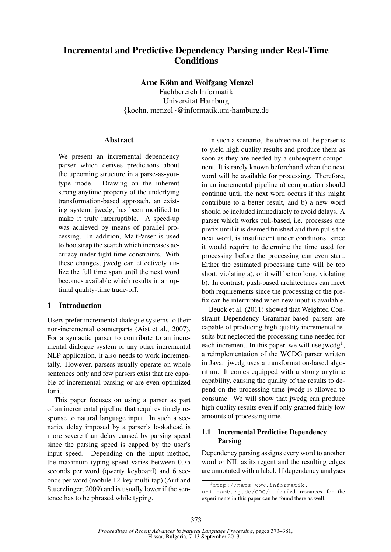# Incremental and Predictive Dependency Parsing under Real-Time Conditions

Arne Köhn and Wolfgang Menzel

Fachbereich Informatik Universität Hamburg {koehn, menzel}@informatik.uni-hamburg.de

# Abstract

We present an incremental dependency parser which derives predictions about the upcoming structure in a parse-as-youtype mode. Drawing on the inherent strong anytime property of the underlying transformation-based approach, an existing system, jwcdg, has been modified to make it truly interruptible. A speed-up was achieved by means of parallel processing. In addition, MaltParser is used to bootstrap the search which increases accuracy under tight time constraints. With these changes, jwcdg can effectively utilize the full time span until the next word becomes available which results in an optimal quality-time trade-off.

# 1 Introduction

Users prefer incremental dialogue systems to their non-incremental counterparts (Aist et al., 2007). For a syntactic parser to contribute to an incremental dialogue system or any other incremental NLP application, it also needs to work incrementally. However, parsers usually operate on whole sentences only and few parsers exist that are capable of incremental parsing or are even optimized for it.

This paper focuses on using a parser as part of an incremental pipeline that requires timely response to natural language input. In such a scenario, delay imposed by a parser's lookahead is more severe than delay caused by parsing speed since the parsing speed is capped by the user's input speed. Depending on the input method, the maximum typing speed varies between 0.75 seconds per word (qwerty keyboard) and 6 seconds per word (mobile 12-key multi-tap) (Arif and Stuerzlinger, 2009) and is usually lower if the sentence has to be phrased while typing.

In such a scenario, the objective of the parser is to yield high quality results and produce them as soon as they are needed by a subsequent component. It is rarely known beforehand when the next word will be available for processing. Therefore, in an incremental pipeline a) computation should continue until the next word occurs if this might contribute to a better result, and b) a new word should be included immediately to avoid delays. A parser which works pull-based, i.e. processes one prefix until it is deemed finished and then pulls the next word, is insufficient under conditions, since it would require to determine the time used for processing before the processing can even start. Either the estimated processing time will be too short, violating a), or it will be too long, violating b). In contrast, push-based architectures can meet both requirements since the processing of the prefix can be interrupted when new input is available.

Beuck et al. (2011) showed that Weighted Constraint Dependency Grammar-based parsers are capable of producing high-quality incremental results but neglected the processing time needed for each increment. In this paper, we will use jwcdg<sup>1</sup>, a reimplementation of the WCDG parser written in Java. jwcdg uses a transformation-based algorithm. It comes equipped with a strong anytime capability, causing the quality of the results to depend on the processing time jwcdg is allowed to consume. We will show that jwcdg can produce high quality results even if only granted fairly low amounts of processing time.

# 1.1 Incremental Predictive Dependency Parsing

Dependency parsing assigns every word to another word or NIL as its regent and the resulting edges are annotated with a label. If dependency analyses

<sup>1</sup>http://nats-www.informatik.

uni-hamburg.de/CDG/; detailed resources for the experiments in this paper can be found there as well.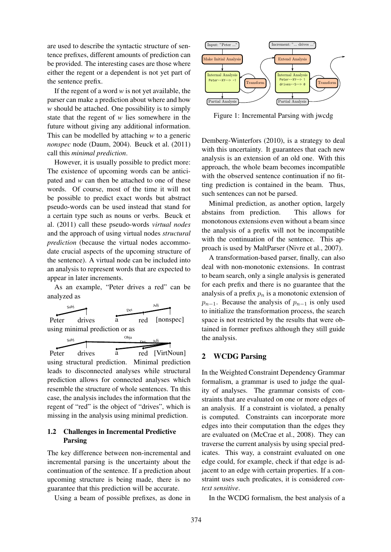are used to describe the syntactic structure of sentence prefixes, different amounts of prediction can be provided. The interesting cases are those where either the regent or a dependent is not yet part of the sentence prefix.

If the regent of a word *w* is not yet available, the parser can make a prediction about where and how *w* should be attached. One possibility is to simply state that the regent of *w* lies somewhere in the future without giving any additional information. This can be modelled by attaching *w* to a generic *nonspec* node (Daum, 2004). Beuck et al. (2011) call this *minimal prediction*.

However, it is usually possible to predict more: The existence of upcoming words can be anticipated and *w* can then be attached to one of these words. Of course, most of the time it will not be possible to predict exact words but abstract pseudo-words can be used instead that stand for a certain type such as nouns or verbs. Beuck et al. (2011) call these pseudo-words *virtual nodes* and the approach of using virtual nodes *structural prediction* (because the virtual nodes accommodate crucial aspects of the upcoming structure of the sentence). A virtual node can be included into an analysis to represent words that are expected to appear in later increments.

As an example, "Peter drives a red" can be analyzed as





leads to disconnected analyses while structural prediction allows for connected analyses which resemble the structure of whole sentences. Tn this case, the analysis includes the information that the regent of "red" is the object of "drives", which is missing in the analysis using minimal prediction.

# 1.2 Challenges in Incremental Predictive Parsing

The key difference between non-incremental and incremental parsing is the uncertainty about the continuation of the sentence. If a prediction about upcoming structure is being made, there is no guarantee that this prediction will be accurate.

Using a beam of possible prefixes, as done in



Figure 1: Incremental Parsing with jwcdg

Demberg-Winterfors (2010), is a strategy to deal with this uncertainty. It guarantees that each new analysis is an extension of an old one. With this approach, the whole beam becomes incompatible with the observed sentence continuation if no fitting prediction is contained in the beam. Thus, such sentences can not be parsed.

Minimal prediction, as another option, largely abstains from prediction. This allows for monotonous extensions even without a beam since the analysis of a prefix will not be incompatible with the continuation of the sentence. This approach is used by MaltParser (Nivre et al., 2007).

A transformation-based parser, finally, can also deal with non-monotonic extensions. In contrast to beam search, only a single analysis is generated for each prefix and there is no guarantee that the analysis of a prefix  $p_n$  is a monotonic extension of  $p_{n-1}$ . Because the analysis of  $p_{n-1}$  is only used to initialize the transformation process, the search space is not restricted by the results that were obtained in former prefixes although they still guide the analysis.

### 2 WCDG Parsing

In the Weighted Constraint Dependency Grammar formalism, a grammar is used to judge the quality of analyses. The grammar consists of constraints that are evaluated on one or more edges of an analysis. If a constraint is violated, a penalty is computed. Constraints can incorporate more edges into their computation than the edges they are evaluated on (McCrae et al., 2008). They can traverse the current analysis by using special predicates. This way, a constraint evaluated on one edge could, for example, check if that edge is adjacent to an edge with certain properties. If a constraint uses such predicates, it is considered *context sensitive*.

In the WCDG formalism, the best analysis of a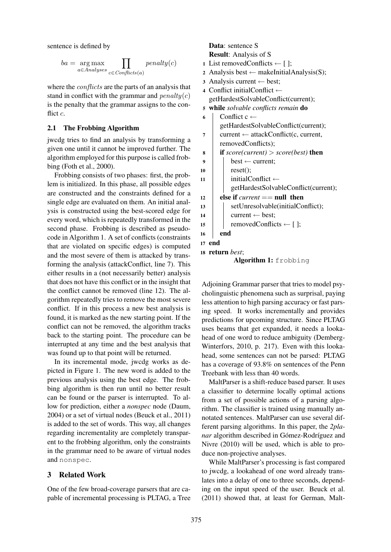sentence is defined by

$$
ba = \underset{a \in Analyses}{\arg\max} \prod_{c \in Conflicts(a)} penalty(c)
$$

where the *conflicts* are the parts of an analysis that stand in conflict with the grammar and  $penalty(c)$ is the penalty that the grammar assigns to the conflict c.

### 2.1 The Frobbing Algorithm

jwcdg tries to find an analysis by transforming a given one until it cannot be improved further. The algorithm employed for this purpose is called frobbing (Foth et al., 2000).

Frobbing consists of two phases: first, the problem is initialized. In this phase, all possible edges are constructed and the constraints defined for a single edge are evaluated on them. An initial analysis is constructed using the best-scored edge for every word, which is repeatedly transformed in the second phase. Frobbing is described as pseudocode in Algorithm 1. A set of conflicts (constraints that are violated on specific edges) is computed and the most severe of them is attacked by transforming the analysis (attackConflict, line 7). This either results in a (not necessarily better) analysis that does not have this conflict or in the insight that the conflict cannot be removed (line 12). The algorithm repeatedly tries to remove the most severe conflict. If in this process a new best analysis is found, it is marked as the new starting point. If the conflict can not be removed, the algorithm tracks back to the starting point. The procedure can be interrupted at any time and the best analysis that was found up to that point will be returned.

In its incremental mode, jwcdg works as depicted in Figure 1. The new word is added to the previous analysis using the best edge. The frobbing algorithm is then run until no better result can be found or the parser is interrupted. To allow for prediction, either a *nonspec* node (Daum, 2004) or a set of virtual nodes (Beuck et al., 2011) is added to the set of words. This way, all changes regarding incrementality are completely transparent to the frobbing algorithm, only the constraints in the grammar need to be aware of virtual nodes and nonspec.

# 3 Related Work

One of the few broad-coverage parsers that are capable of incremental processing is PLTAG, a Tree

Data: sentence S Result: Analysis of S 1 List removedConflicts  $\leftarrow$  []; 2 Analysis best  $\leftarrow$  makeInitialAnalysis(S);

- <sup>3</sup> Analysis current ← best;
- <sup>4</sup> Conflict initialConflict ← getHardestSolvableConflict(current); <sup>5</sup> while *solvable conflicts remain* do

| 6  | Conflict c $\leftarrow$                            |
|----|----------------------------------------------------|
|    | getHardestSolvableConflict(current);               |
| 7  | $current \leftarrow attackConflict(c, current,$    |
|    | removedConflicts);                                 |
| 8  | <b>if</b> score(current) > score(best) <b>then</b> |
| 9  | $best \leftarrow current;$                         |
| 10 | reset();                                           |
| 11 | initialConflict $\leftarrow$                       |
|    | getHardestSolvableConflict(current);               |
| 12 | else if <i>current</i> $==$ null then              |
| 13 | setUnresolvable(initialConflict);                  |
| 14 | $current \leftarrow best;$                         |
| 15 | removedConflicts $\leftarrow$ [];                  |
| 16 | end                                                |
|    | 17 end                                             |
|    | 18 return <i>best</i> ;                            |
|    | <b>Algorithm 1:</b> frobbing                       |
|    |                                                    |

Adjoining Grammar parser that tries to model psycholinguistic phenomena such as surprisal, paying less attention to high parsing accuracy or fast parsing speed. It works incrementally and provides predictions for upcoming structure. Since PLTAG uses beams that get expanded, it needs a lookahead of one word to reduce ambiguity (Demberg-Winterfors, 2010, p. 217). Even with this lookahead, some sentences can not be parsed: PLTAG has a coverage of 93.8% on sentences of the Penn Treebank with less than 40 words.

MaltParser is a shift-reduce based parser. It uses a classifier to determine locally optimal actions from a set of possible actions of a parsing algorithm. The classifier is trained using manually annotated sentences. MaltParser can use several different parsing algorithms. In this paper, the *2planar* algorithm described in Gómez-Rodríguez and Nivre (2010) will be used, which is able to produce non-projective analyses.

While MaltParser's processing is fast compared to jwcdg, a lookahead of one word already translates into a delay of one to three seconds, depending on the input speed of the user. Beuck et al. (2011) showed that, at least for German, Malt-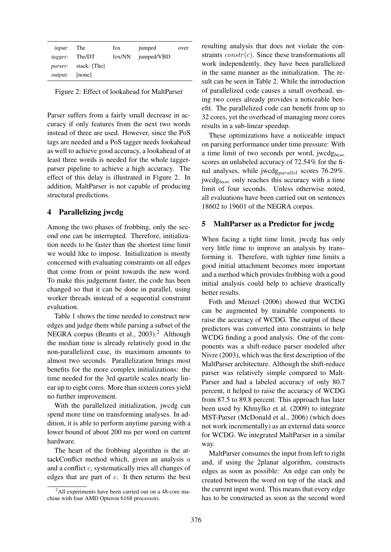| jumped/VBD<br>fox/NN<br>The/DT<br>tagger:<br>stack: [The]<br><i>parser:</i> | jumped | fox | The | input: |
|-----------------------------------------------------------------------------|--------|-----|-----|--------|
|                                                                             |        |     |     |        |
|                                                                             |        |     |     |        |
| [none]<br><i>output:</i>                                                    |        |     |     |        |

Figure 2: Effect of lookahead for MaltParser

Parser suffers from a fairly small decrease in accuracy if only features from the next two words instead of three are used. However, since the PoS tags are needed and a PoS tagger needs lookahead as well to achieve good accuracy, a lookahead of at least three words is needed for the whole taggerparser pipeline to achieve a high accuracy. The effect of this delay is illustrated in Figure 2. In addition, MaltParser is not capable of producing structural predictions.

# 4 Parallelizing jwcdg

Among the two phases of frobbing, only the second one can be interrupted. Therefore, initialization needs to be faster than the shortest time limit we would like to impose. Initialization is mostly concerned with evaluating constraints on all edges that come from or point towards the new word. To make this judgement faster, the code has been changed so that it can be done in parallel, using worker threads instead of a sequential constraint evaluation.

Table 1 shows the time needed to construct new edges and judge them while parsing a subset of the NEGRA corpus (Brants et al., 2003).<sup>2</sup> Although the median time is already relatively good in the non-parallelized case, its maximum amounts to almost two seconds. Parallelization brings most benefits for the more complex initializations: the time needed for the 3rd quartile scales nearly linear up to eight cores. More than sixteen cores yield no further improvement.

With the parallelized initialization, jwcdg can spend more time on transforming analyses. In addition, it is able to perform anytime parsing with a lower bound of about 200 ms per word on current hardware.

The heart of the frobbing algorithm is the attackConflict method which, given an analysis  $a$ and a conflict c, systematically tries all changes of edges that are part of c. It then returns the best resulting analysis that does not violate the constraints  $constr(c)$ . Since these transformations all work independently, they have been parallelized in the same manner as the initialization. The result can be seen in Table 2. While the introduction of parallelized code causes a small overhead, using two cores already provides a noticeable benefit. The parallelized code can benefit from up to 32 cores, yet the overhead of managing more cores results in a sub-linear speedup.

These optimizations have a noticeable impact on parsing performance under time pressure: With a time limit of two seconds per word, jwcd $g_{base}$ scores an unlabeled accuracy of 72.54% for the final analyses, while jwcd $g_{parallel}$  scores 76.29%. jwcd $g_{base}$  only reaches this accuracy with a time limit of four seconds. Unless otherwise noted, all evaluations have been carried out on sentences 18602 to 19601 of the NEGRA corpus.

### 5 MaltParser as a Predictor for jwcdg

When facing a tight time limit, jwcdg has only very little time to improve an analysis by transforming it. Therefore, with tighter time limits a good initial attachment becomes more important and a method which provides frobbing with a good initial analysis could help to achieve drastically better results.

Foth and Menzel (2006) showed that WCDG can be augmented by trainable components to raise the accuracy of WCDG. The output of these predictors was converted into constraints to help WCDG finding a good analysis. One of the components was a shift-reduce parser modeled after Nivre (2003), which was the first description of the MaltParser architecture. Although the shift-reduce parser was relatively simple compared to Malt-Parser and had a labeled accuracy of only 80.7 percent, it helped to raise the accuracy of WCDG from 87.5 to 89.8 percent. This approach has later been used by Khmylko et al. (2009) to integrate MST-Parser (McDonald et al., 2006) (which does not work incrementally) as an external data source for WCDG. We integrated MaltParser in a similar way.

MaltParser consumes the input from left to right and, if using the 2planar algorithm, constructs edges as soon as possible: An edge can only be created between the word on top of the stack and the current input word. This means that every edge has to be constructed as soon as the second word

<sup>&</sup>lt;sup>2</sup>All experiments have been carried out on a 48-core machine with four AMD Opteron 6168 processors.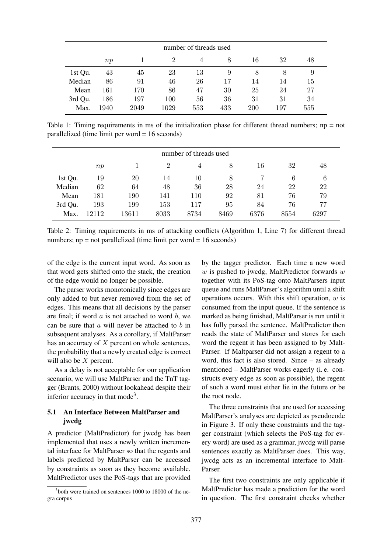|         | number of threads used |      |                             |     |     |            |     |     |
|---------|------------------------|------|-----------------------------|-----|-----|------------|-----|-----|
|         | np                     |      | $\mathcal{D}_{\mathcal{L}}$ | 4   | 8   | 16         | 32  | 48  |
| 1st Qu. | 43                     | 45   | 23                          | 13  | 9   |            | 8   | 9   |
| Median  | 86                     | 91   | 46                          | 26  | 17  | 14         | 14  | 15  |
| Mean    | 161                    | 170  | 86                          | 47  | 30  | 25         | 24  | 27  |
| 3rd Qu. | 186                    | 197  | 100                         | 56  | 36  | 31         | 31  | 34  |
| Max.    | 1940                   | 2049 | 1029                        | 553 | 433 | <b>200</b> | 197 | 555 |

Table 1: Timing requirements in ms of the initialization phase for different thread numbers; np = not parallelized (time limit per word = 16 seconds)

|         | number of threads used |       |                |      |      |      |      |      |
|---------|------------------------|-------|----------------|------|------|------|------|------|
|         | np                     |       | $\overline{2}$ |      | 8    | 16   | 32   | 48   |
| 1st Qu. | 19                     | 20    | 14             | 10   | 8    |      | 6    | 6    |
| Median  | 62                     | 64    | 48             | 36   | 28   | 24   | 22   | 22   |
| Mean    | 181                    | 190   | 141            | 110  | 92   | 81   | 76   | 79   |
| 3rd Qu. | 193                    | 199   | 153            | 117  | 95   | 84   | 76   | 77   |
| Max.    | 12112                  | 13611 | 8033           | 8734 | 8469 | 6376 | 8554 | 6297 |

Table 2: Timing requirements in ms of attacking conflicts (Algorithm 1, Line 7) for different thread numbers;  $np = not parallelized (time limit per word = 16 seconds)$ 

of the edge is the current input word. As soon as that word gets shifted onto the stack, the creation of the edge would no longer be possible.

The parser works monotonically since edges are only added to but never removed from the set of edges. This means that all decisions by the parser are final; if word  $a$  is not attached to word  $b$ , we can be sure that  $\alpha$  will never be attached to  $\beta$  in subsequent analyses. As a corollary, if MaltParser has an accuracy of  $X$  percent on whole sentences, the probability that a newly created edge is correct will also be X percent.

As a delay is not acceptable for our application scenario, we will use MaltParser and the TnT tagger (Brants, 2000) without lookahead despite their inferior accuracy in that mode<sup>3</sup>.

# 5.1 An Interface Between MaltParser and jwcdg

A predictor (MaltPredictor) for jwcdg has been implemented that uses a newly written incremental interface for MaltParser so that the regents and labels predicted by MaltParser can be accessed by constraints as soon as they become available. MaltPredictor uses the PoS-tags that are provided

<sup>3</sup>both were trained on sentences 1000 to 18000 of the negra corpus

by the tagger predictor. Each time a new word  $w$  is pushed to jwcdg, MaltPredictor forwards  $w$ together with its PoS-tag onto MaltParsers input queue and runs MaltParser's algorithm until a shift operations occurs. With this shift operation,  $w$  is consumed from the input queue. If the sentence is marked as being finished, MaltParser is run until it has fully parsed the sentence. MaltPredictor then reads the state of MaltParser and stores for each word the regent it has been assigned to by Malt-Parser. If Maltparser did not assign a regent to a word, this fact is also stored. Since – as already mentioned – MaltParser works eagerly (i. e. constructs every edge as soon as possible), the regent of such a word must either lie in the future or be the root node.

The three constraints that are used for accessing MaltParser's analyses are depicted as pseudocode in Figure 3. If only these constraints and the tagger constraint (which selects the PoS-tag for every word) are used as a grammar, jwcdg will parse sentences exactly as MaltParser does. This way, jwcdg acts as an incremental interface to Malt-Parser.

The first two constraints are only applicable if MaltPredictor has made a prediction for the word in question. The first constraint checks whether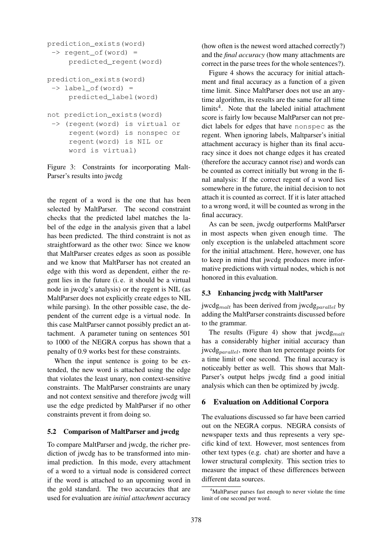```
prediction_exists(word)
 \Rightarrow regent of (word) =
     predicted_regent(word)
prediction_exists(word)
 \rightarrow label of(word) =
     predicted_label(word)
not prediction_exists(word)
 -> (regent(word) is virtual or
     regent(word) is nonspec or
     regent(word) is NIL or
     word is virtual)
```
Figure 3: Constraints for incorporating Malt-Parser's results into jwcdg

the regent of a word is the one that has been selected by MaltParser. The second constraint checks that the predicted label matches the label of the edge in the analysis given that a label has been predicted. The third constraint is not as straightforward as the other two: Since we know that MaltParser creates edges as soon as possible and we know that MaltParser has not created an edge with this word as dependent, either the regent lies in the future (i. e. it should be a virtual node in jwcdg's analysis) or the regent is NIL (as MaltParser does not explicitly create edges to NIL while parsing). In the other possible case, the dependent of the current edge is a virtual node. In this case MaltParser cannot possibly predict an attachment. A parameter tuning on sentences 501 to 1000 of the NEGRA corpus has shown that a penalty of 0.9 works best for these constraints.

When the input sentence is going to be extended, the new word is attached using the edge that violates the least unary, non context-sensitive constraints. The MaltParser constraints are unary and not context sensitive and therefore jwcdg will use the edge predicted by MaltParser if no other constraints prevent it from doing so.

#### 5.2 Comparison of MaltParser and jwcdg

To compare MaltParser and jwcdg, the richer prediction of jwcdg has to be transformed into minimal prediction. In this mode, every attachment of a word to a virtual node is considered correct if the word is attached to an upcoming word in the gold standard. The two accuracies that are used for evaluation are *initial attachment* accuracy

(how often is the newest word attached correctly?) and the *final accuracy* (how many attachments are correct in the parse trees for the whole sentences?).

Figure 4 shows the accuracy for initial attachment and final accuracy as a function of a given time limit. Since MaltParser does not use an anytime algorithm, its results are the same for all time limits<sup>4</sup>. Note that the labeled initial attachment score is fairly low because MaltParser can not predict labels for edges that have nonspec as the regent. When ignoring labels, Maltparser's initial attachment accuracy is higher than its final accuracy since it does not change edges it has created (therefore the accuracy cannot rise) and words can be counted as correct initially but wrong in the final analysis: If the correct regent of a word lies somewhere in the future, the initial decision to not attach it is counted as correct. If it is later attached to a wrong word, it will be counted as wrong in the final accuracy.

As can be seen, jwcdg outperforms MaltParser in most aspects when given enough time. The only exception is the unlabeled attachment score for the initial attachment. Here, however, one has to keep in mind that jwcdg produces more informative predictions with virtual nodes, which is not honored in this evaluation.

#### 5.3 Enhancing jwcdg with MaltParser

jwcdg<sub>malt</sub> has been derived from jwcdg<sub>parallel</sub> by adding the MaltParser constraints discussed before to the grammar.

The results (Figure 4) show that  $j$ wcdg<sub>malt</sub> has a considerably higher initial accuracy than jwcdg<sub>parallel</sub>, more than ten percentage points for a time limit of one second. The final accuracy is noticeably better as well. This shows that Malt-Parser's output helps jwcdg find a good initial analysis which can then be optimized by jwcdg.

# 6 Evaluation on Additional Corpora

The evaluations discussed so far have been carried out on the NEGRA corpus. NEGRA consists of newspaper texts and thus represents a very specific kind of text. However, most sentences from other text types (e.g. chat) are shorter and have a lower structural complexity. This section tries to measure the impact of these differences between different data sources.

<sup>&</sup>lt;sup>4</sup>MaltParser parses fast enough to never violate the time limit of one second per word.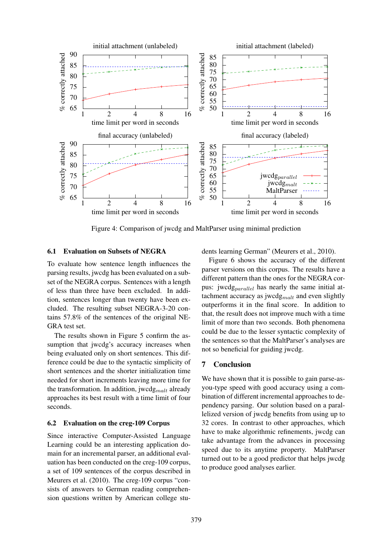

Figure 4: Comparison of jwcdg and MaltParser using minimal prediction

#### 6.1 Evaluation on Subsets of NEGRA

To evaluate how sentence length influences the parsing results, jwcdg has been evaluated on a subset of the NEGRA corpus. Sentences with a length of less than three have been excluded. In addition, sentences longer than twenty have been excluded. The resulting subset NEGRA-3-20 contains 57.8% of the sentences of the original NE-GRA test set.

The results shown in Figure 5 confirm the assumption that jwcdg's accuracy increases when being evaluated only on short sentences. This difference could be due to the syntactic simplicity of short sentences and the shorter initialization time needed for short increments leaving more time for the transformation. In addition, jwcdg<sub>malt</sub> already approaches its best result with a time limit of four seconds.

#### 6.2 Evaluation on the creg-109 Corpus

Since interactive Computer-Assisted Language Learning could be an interesting application domain for an incremental parser, an additional evaluation has been conducted on the creg-109 corpus, a set of 109 sentences of the corpus described in Meurers et al. (2010). The creg-109 corpus "consists of answers to German reading comprehension questions written by American college students learning German" (Meurers et al., 2010).

Figure 6 shows the accuracy of the different parser versions on this corpus. The results have a different pattern than the ones for the NEGRA corpus: jwcdg<sub>parallel</sub> has nearly the same initial attachment accuracy as jwcd $g_{malt}$  and even slightly outperforms it in the final score. In addition to that, the result does not improve much with a time limit of more than two seconds. Both phenomena could be due to the lesser syntactic complexity of the sentences so that the MaltParser's analyses are not so beneficial for guiding jwcdg.

### 7 Conclusion

We have shown that it is possible to gain parse-asyou-type speed with good accuracy using a combination of different incremental approaches to dependency parsing. Our solution based on a parallelized version of jwcdg benefits from using up to 32 cores. In contrast to other approaches, which have to make algorithmic refinements, jwcdg can take advantage from the advances in processing speed due to its anytime property. MaltParser turned out to be a good predictor that helps jwcdg to produce good analyses earlier.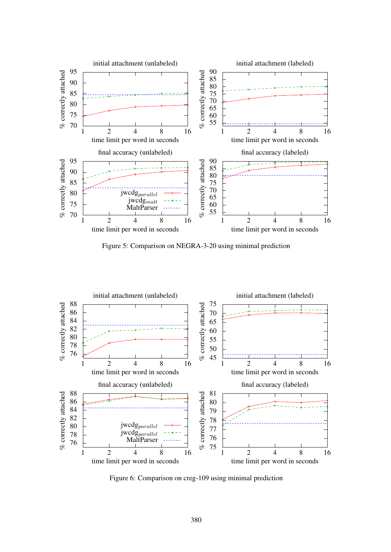

Figure 5: Comparison on NEGRA-3-20 using minimal prediction



Figure 6: Comparison on creg-109 using minimal prediction